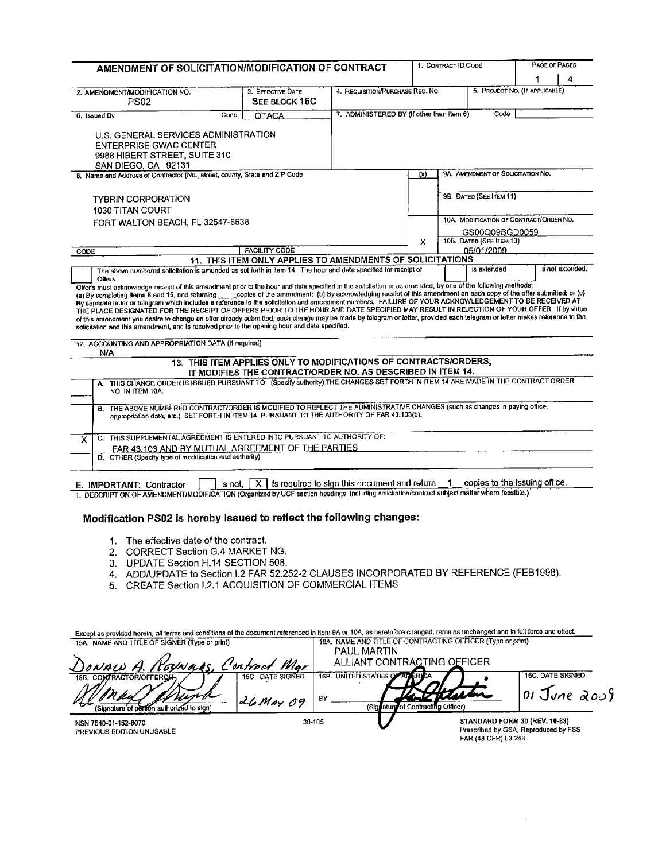| AMENDMENT OF SOLICITATION/MODIFICATION OF CONTRACT                                                                                                                                                                                                                                                                                                                                                                                                                                                                                                                                                                                                                                                                                                                                                                                                                                                                            |           |                                                                                                                                 |                                                  | PAGE OF PAGES<br>1. CONTRACT ID CODE |  |                                         |  |   |
|-------------------------------------------------------------------------------------------------------------------------------------------------------------------------------------------------------------------------------------------------------------------------------------------------------------------------------------------------------------------------------------------------------------------------------------------------------------------------------------------------------------------------------------------------------------------------------------------------------------------------------------------------------------------------------------------------------------------------------------------------------------------------------------------------------------------------------------------------------------------------------------------------------------------------------|-----------|---------------------------------------------------------------------------------------------------------------------------------|--------------------------------------------------|--------------------------------------|--|-----------------------------------------|--|---|
|                                                                                                                                                                                                                                                                                                                                                                                                                                                                                                                                                                                                                                                                                                                                                                                                                                                                                                                               |           |                                                                                                                                 |                                                  |                                      |  |                                         |  | 4 |
| 2. AMENOMENT/MODIFICATION NO.<br><b>PS02</b>                                                                                                                                                                                                                                                                                                                                                                                                                                                                                                                                                                                                                                                                                                                                                                                                                                                                                  |           | 3. EFFECTIVE DATE<br>SEE BLOCK 16C                                                                                              | 4. REQUISITION/PURCHASE REQ. NO.                 |                                      |  | 5. PROJECT NO. (IF APPLICABLE)          |  |   |
| 6. Issued By                                                                                                                                                                                                                                                                                                                                                                                                                                                                                                                                                                                                                                                                                                                                                                                                                                                                                                                  | Code      | <b>OTACA</b>                                                                                                                    | 7. ADMINISTERED BY (If other than Item 6)        |                                      |  | Code                                    |  |   |
| U.S. GENERAL SERVICES ADMINISTRATION<br><b>ENTERPRISE GWAC CENTER</b><br>9988 HIBERT STREET, SUITE 310<br>SAN DIEGO, CA 92131                                                                                                                                                                                                                                                                                                                                                                                                                                                                                                                                                                                                                                                                                                                                                                                                 |           |                                                                                                                                 |                                                  |                                      |  |                                         |  |   |
| 8. Name and Address of Contractor (No., street, county, State and ZIP Code                                                                                                                                                                                                                                                                                                                                                                                                                                                                                                                                                                                                                                                                                                                                                                                                                                                    |           |                                                                                                                                 |                                                  | (x)                                  |  | 9A. AMENDMENT OF SOLICITATION NO.       |  |   |
| <b>TYBRIN CORPORATION</b><br>1030 TITAN COURT                                                                                                                                                                                                                                                                                                                                                                                                                                                                                                                                                                                                                                                                                                                                                                                                                                                                                 |           |                                                                                                                                 |                                                  |                                      |  | 9B. DATED (SEE ITEM 11)                 |  |   |
| FORT WALTON BEACH, FL 32547-6638                                                                                                                                                                                                                                                                                                                                                                                                                                                                                                                                                                                                                                                                                                                                                                                                                                                                                              |           |                                                                                                                                 |                                                  |                                      |  | 10A. MODIFICATION OF CONTRACT/OROER NO. |  |   |
|                                                                                                                                                                                                                                                                                                                                                                                                                                                                                                                                                                                                                                                                                                                                                                                                                                                                                                                               |           |                                                                                                                                 |                                                  |                                      |  | GS00Q09BGD0059                          |  |   |
|                                                                                                                                                                                                                                                                                                                                                                                                                                                                                                                                                                                                                                                                                                                                                                                                                                                                                                                               |           | <b>FACILITY CODE</b>                                                                                                            |                                                  | x                                    |  | 10В. DATED (SEE ITEM 13)<br>05/01/2009  |  |   |
| CODE                                                                                                                                                                                                                                                                                                                                                                                                                                                                                                                                                                                                                                                                                                                                                                                                                                                                                                                          |           | 11. THIS ITEM ONLY APPLIES TO AMENDMENTS OF SOLICITATIONS                                                                       |                                                  |                                      |  |                                         |  |   |
| Offer's must acknowledge receipt of this amendment prior to the hour and date specified in the solicitation or as amended, by one of the following methods:<br>(a) By completing items 8 and 15, and returning ______ copies of the amendment; (b) By acknowledging receipt of this amendment an each copy of the offer submitted; or (c)<br>By separate letter or telegram which includes a reference in the solicitation and amendment rumbers. FAILURE OF YOUR ACKNOWLEDGEMENT TO BE RECEIVED AT<br>THE PLACE DESIGNATED FOR THE RECEIPT OF OFFERS PRIOR TO THE HOUR AND DATE SPECIFIED MAY RESULT IN REJECTION OF YOUR OFFER. If by vittue<br>of this amondment you desire to change an offer already submitted, such change may be made by telegram or letter, provided each telegram or letter mekes reference to the<br>solicitation and this amendment, and is received prior to the opening hour and date specified. |           |                                                                                                                                 |                                                  |                                      |  |                                         |  |   |
| 12. ACCOUNTING AND APPROPRIATION DATA (If required)<br>N/A                                                                                                                                                                                                                                                                                                                                                                                                                                                                                                                                                                                                                                                                                                                                                                                                                                                                    |           |                                                                                                                                 |                                                  |                                      |  |                                         |  |   |
|                                                                                                                                                                                                                                                                                                                                                                                                                                                                                                                                                                                                                                                                                                                                                                                                                                                                                                                               |           | 13. THIS ITEM APPLIES ONLY TO MODIFICATIONS OF CONTRACTS/ORDERS,<br>IT MODIFIES THE CONTRACT/ORDER NO. AS DESCRIBED IN ITEM 14. |                                                  |                                      |  |                                         |  |   |
| A. THIS CHANGE ORDER IS ISSUED PURSUANT TO: (Specify authority) THE CHANGES SET FORTH IN ITEM 14 ARE MADE IN THE CONTRACT ORDER<br>NO. IN ITEM 10A.                                                                                                                                                                                                                                                                                                                                                                                                                                                                                                                                                                                                                                                                                                                                                                           |           |                                                                                                                                 |                                                  |                                      |  |                                         |  |   |
| B. THE ABOVE NUMBERED CONTRACT/ORDER IS MODIFIED TO REFLECT THE ADMINISTRATIVE CHANGES (such as changes in paying office,<br>appropriation date, etc.) SET FORTH IN ITEM 14, PURSUANT TO THE AUTHORITY OF FAR 43.103(b).                                                                                                                                                                                                                                                                                                                                                                                                                                                                                                                                                                                                                                                                                                      |           |                                                                                                                                 |                                                  |                                      |  |                                         |  |   |
| C. THIS SUPPLEMENTAL AGREEMENT IS ENTERED INTO PURSUANT TO AUTHORITY OF:<br>$\mathsf{x}$                                                                                                                                                                                                                                                                                                                                                                                                                                                                                                                                                                                                                                                                                                                                                                                                                                      |           |                                                                                                                                 |                                                  |                                      |  |                                         |  |   |
| FAR 43.103 AND BY MUTUAL AGREEMENT OF THE PARTIES                                                                                                                                                                                                                                                                                                                                                                                                                                                                                                                                                                                                                                                                                                                                                                                                                                                                             |           |                                                                                                                                 |                                                  |                                      |  |                                         |  |   |
| D. OTHER (Specify type of modification and authority)                                                                                                                                                                                                                                                                                                                                                                                                                                                                                                                                                                                                                                                                                                                                                                                                                                                                         |           |                                                                                                                                 |                                                  |                                      |  |                                         |  |   |
| E. IMPORTANT: Contractor                                                                                                                                                                                                                                                                                                                                                                                                                                                                                                                                                                                                                                                                                                                                                                                                                                                                                                      | is not. I | - X I                                                                                                                           | is required to sign this document and return _1_ |                                      |  | copies to the issuing office.           |  |   |
| 1. DESCRIPTION OF AMENDMENT/MODIFICATION (Organized by UCF section headings, including solicitation/contract subject matter where foasible.)                                                                                                                                                                                                                                                                                                                                                                                                                                                                                                                                                                                                                                                                                                                                                                                  |           |                                                                                                                                 |                                                  |                                      |  |                                         |  |   |

## Modification PS02 is hereby issued to reflect the following changes:

- 
- 
- 
- 1. The effective date of the contract.<br>2. CORRECT Section G.4 MARKETING.<br>3. UPDATE Section H.14 SECTION 508.<br>4. ADD/UPDATE to Section I.2 FAR 52.252-2 CLAUSES INCORPORATED BY REFERENCE (FEB1998).<br>5. CREATE Section I.2.1 AC
- 

|                                               | Except as provided herein, all terms and conditions of the document referenced in item 9A or 10A, as heretofore changed, remains unchanged and in full force and effect. |
|-----------------------------------------------|--------------------------------------------------------------------------------------------------------------------------------------------------------------------------|
| 15A. NAME AND TITLE OF SIGNER (Type or print) | 16A. NAME AND TITLE OF CONTRACTING OFFICER (Type or print)                                                                                                               |

| DONALD A. NOUNALS, Contract Mar                                       |                                         | <b>PAUL MARTIN</b><br>ALLIANT CONTRACTING OFFICER                              |                                                                       |
|-----------------------------------------------------------------------|-----------------------------------------|--------------------------------------------------------------------------------|-----------------------------------------------------------------------|
| 15B. COMTRACTOR/OFFEROLLY<br>(Signature of person authorized to sign) | <b>15C. DATE SIGNED</b><br>$126$ May 09 | UNITED STATES OF ALL ERICA<br>16B.<br>ΒY<br>(Signature of Contracting Officer) | 16C. DATE SIGNED<br>$ 01$ June 2009                                   |
| NSN 7540-01-152-8070<br>PREVIOUS EDITION UNUSABLE                     |                                         | 30-105                                                                         | STANDARD FORM 30 (REV. 10-83)<br>Prescribed by GSA, Reproduced by FSS |

FAR (48 CFR) 53.243

 $\mathcal{L}$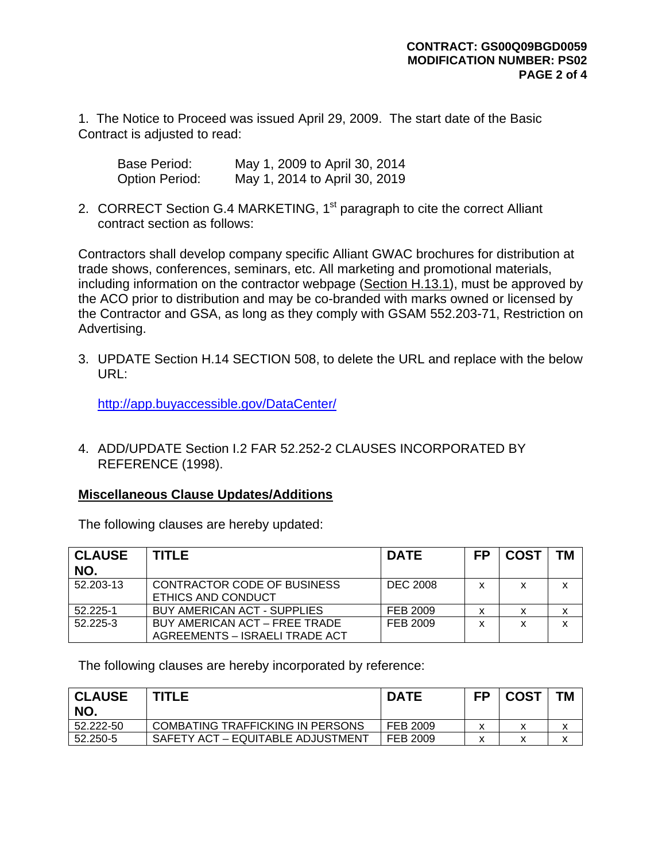1. The Notice to Proceed was issued April 29, 2009. The start date of the Basic Contract is adjusted to read:

| Base Period:          | May 1, 2009 to April 30, 2014 |
|-----------------------|-------------------------------|
| <b>Option Period:</b> | May 1, 2014 to April 30, 2019 |

2. CORRECT Section G.4 MARKETING, 1<sup>st</sup> paragraph to cite the correct Alliant contract section as follows:

Contractors shall develop company specific Alliant GWAC brochures for distribution at trade shows, conferences, seminars, etc. All marketing and promotional materials, including information on the contractor webpage (Section H.13.1), must be approved by the ACO prior to distribution and may be co-branded with marks owned or licensed by the Contractor and GSA, as long as they comply with GSAM 552.203-71, Restriction on Advertising.

3. UPDATE Section H.14 SECTION 508, to delete the URL and replace with the below URL:

<http://app.buyaccessible.gov/DataCenter/>

4. ADD/UPDATE Section I.2 FAR 52.252-2 CLAUSES INCORPORATED BY REFERENCE (1998).

## **Miscellaneous Clause Updates/Additions**

The following clauses are hereby updated:

| <b>CLAUSE</b><br>NO. | <b>TITLE</b>                                                    | <b>DATE</b>     | <b>FP</b> | <b>COST</b> | <b>TM</b> |
|----------------------|-----------------------------------------------------------------|-----------------|-----------|-------------|-----------|
| 52.203-13            | CONTRACTOR CODE OF BUSINESS<br>ETHICS AND CONDUCT               | <b>DEC 2008</b> | x         | X           | X         |
| 52.225-1             | BUY AMERICAN ACT - SUPPLIES                                     | FEB 2009        |           | х           | x         |
| 52.225-3             | BUY AMERICAN ACT - FREE TRADE<br>AGREEMENTS - ISRAELI TRADE ACT | FEB 2009        | x         | x           | x         |

The following clauses are hereby incorporated by reference:

| <b>CLAUSE</b><br>NO. | <b>TITLE</b>                      | <b>DATE</b> | FP | <b>COST</b> | <b>TM</b> |
|----------------------|-----------------------------------|-------------|----|-------------|-----------|
| 52.222-50            | COMBATING TRAFFICKING IN PERSONS  | FEB 2009    |    |             |           |
| 52.250-5             | SAFETY ACT – EQUITABLE ADJUSTMENT | FEB 2009    |    |             |           |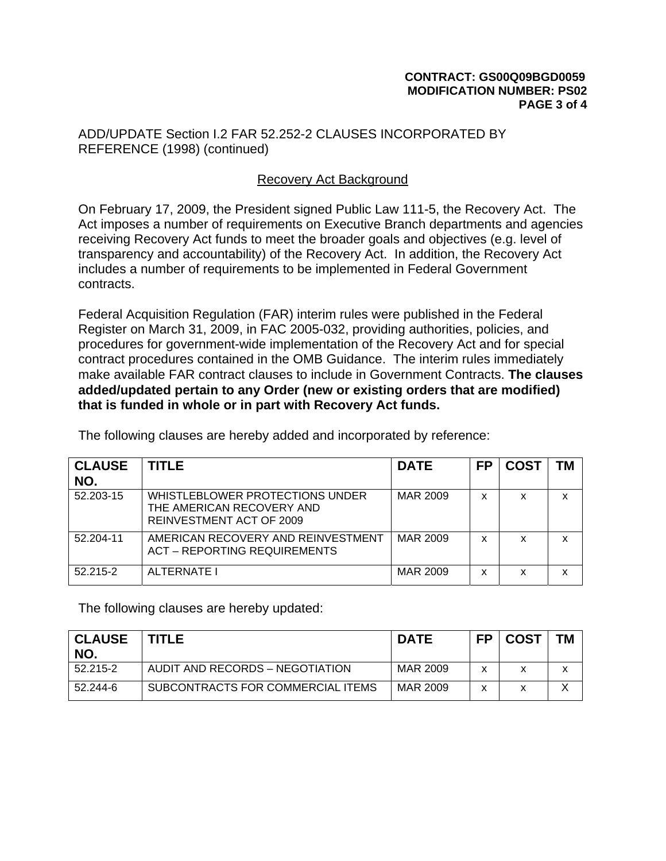ADD/UPDATE Section I.2 FAR 52.252-2 CLAUSES INCORPORATED BY REFERENCE (1998) (continued)

## Recovery Act Background

On February 17, 2009, the President signed Public Law 111-5, the Recovery Act. The Act imposes a number of requirements on Executive Branch departments and agencies receiving Recovery Act funds to meet the broader goals and objectives (e.g. level of transparency and accountability) of the Recovery Act. In addition, the Recovery Act includes a number of requirements to be implemented in Federal Government contracts.

Federal Acquisition Regulation (FAR) interim rules were published in the Federal Register on March 31, 2009, in FAC 2005-032, providing authorities, policies, and procedures for government-wide implementation of the Recovery Act and for special contract procedures contained in the OMB Guidance. The interim rules immediately make available FAR contract clauses to include in Government Contracts. **The clauses added/updated pertain to any Order (new or existing orders that are modified) that is funded in whole or in part with Recovery Act funds.** 

| <b>CLAUSE</b><br>NO. | TITLE                                                                                    | <b>DATE</b> | <b>FP</b> | <b>COST</b> | <b>TM</b> |
|----------------------|------------------------------------------------------------------------------------------|-------------|-----------|-------------|-----------|
| 52.203-15            | WHISTLEBLOWER PROTECTIONS UNDER<br>THE AMERICAN RECOVERY AND<br>REINVESTMENT ACT OF 2009 | MAR 2009    | x         | x           | x         |
| 52.204-11            | AMERICAN RECOVERY AND REINVESTMENT<br><b>ACT - REPORTING REQUIREMENTS</b>                | MAR 2009    | x         | x           | X         |
| 52.215-2             | ALTERNATE I                                                                              | MAR 2009    | x         | x           | x         |

The following clauses are hereby added and incorporated by reference:

The following clauses are hereby updated:

| <b>CLAUSE</b><br>NO. | TITLE                             | <b>DATE</b> | FP           | <b>COST</b> | ТM |
|----------------------|-----------------------------------|-------------|--------------|-------------|----|
| 52.215-2             | AUDIT AND RECORDS - NEGOTIATION   | MAR 2009    | $\checkmark$ |             |    |
| 52.244-6             | SUBCONTRACTS FOR COMMERCIAL ITEMS | MAR 2009    | x            |             |    |